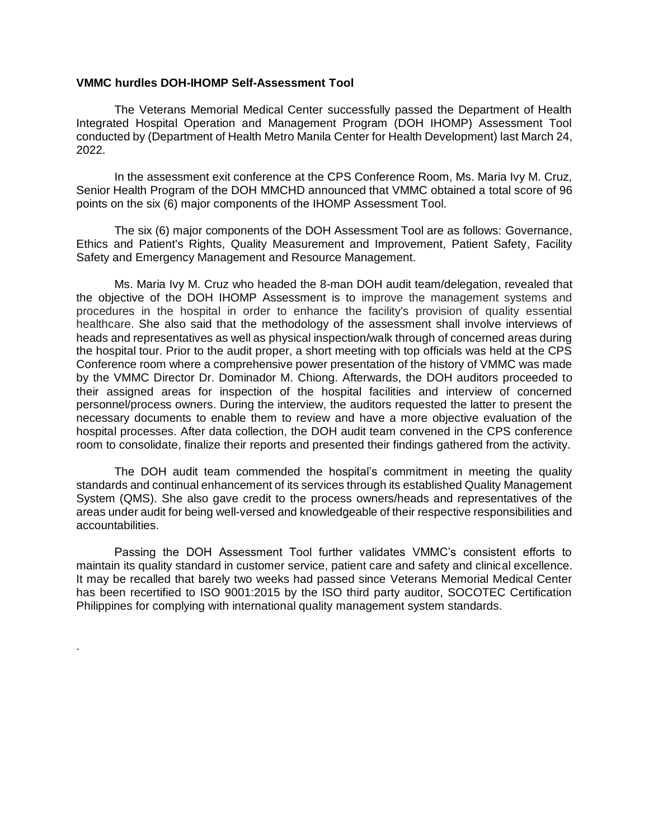## **VMMC hurdles DOH-IHOMP Self-Assessment Tool**

.

The Veterans Memorial Medical Center successfully passed the Department of Health Integrated Hospital Operation and Management Program (DOH IHOMP) Assessment Tool conducted by (Department of Health Metro Manila Center for Health Development) last March 24, 2022.

In the assessment exit conference at the CPS Conference Room, Ms. Maria Ivy M. Cruz, Senior Health Program of the DOH MMCHD announced that VMMC obtained a total score of 96 points on the six (6) major components of the IHOMP Assessment Tool.

The six (6) major components of the DOH Assessment Tool are as follows: Governance, Ethics and Patient's Rights, Quality Measurement and Improvement, Patient Safety, Facility Safety and Emergency Management and Resource Management.

Ms. Maria Ivy M. Cruz who headed the 8-man DOH audit team/delegation, revealed that the objective of the DOH IHOMP Assessment is to improve the management systems and procedures in the hospital in order to enhance the facility's provision of quality essential healthcare. She also said that the methodology of the assessment shall involve interviews of heads and representatives as well as physical inspection/walk through of concerned areas during the hospital tour. Prior to the audit proper, a short meeting with top officials was held at the CPS Conference room where a comprehensive power presentation of the history of VMMC was made by the VMMC Director Dr. Dominador M. Chiong. Afterwards, the DOH auditors proceeded to their assigned areas for inspection of the hospital facilities and interview of concerned personnel/process owners. During the interview, the auditors requested the latter to present the necessary documents to enable them to review and have a more objective evaluation of the hospital processes. After data collection, the DOH audit team convened in the CPS conference room to consolidate, finalize their reports and presented their findings gathered from the activity.

The DOH audit team commended the hospital's commitment in meeting the quality standards and continual enhancement of its services through its established Quality Management System (QMS). She also gave credit to the process owners/heads and representatives of the areas under audit for being well-versed and knowledgeable of their respective responsibilities and accountabilities.

Passing the DOH Assessment Tool further validates VMMC's consistent efforts to maintain its quality standard in customer service, patient care and safety and clinical excellence. It may be recalled that barely two weeks had passed since Veterans Memorial Medical Center has been recertified to ISO 9001:2015 by the ISO third party auditor, SOCOTEC Certification Philippines for complying with international quality management system standards.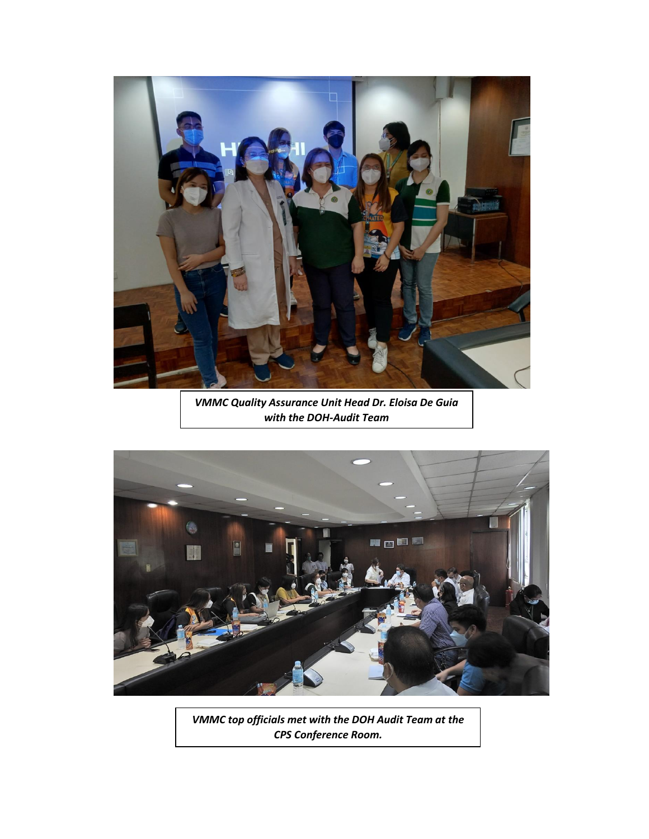

*VMMC Quality Assurance Unit Head Dr. Eloisa De Guia with the DOH-Audit Team*



*VMMC top officials met with the DOH Audit Team at the CPS Conference Room.*